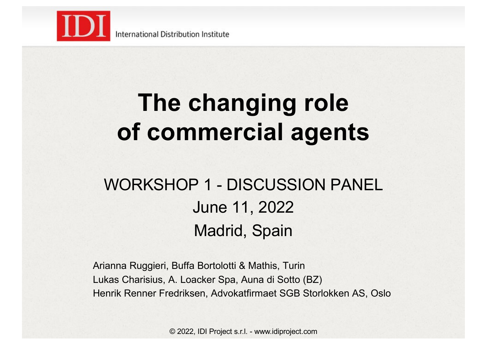

# **The changing role of commercial agents**

### WORKSHOP 1 - DISCUSSION PANEL June 11, 2022 Madrid, Spain

Arianna Ruggieri, Buffa Bortolotti & Mathis, Turin Lukas Charisius, A. Loacker Spa, Auna di Sotto (BZ) Henrik Renner Fredriksen, Advokatfirmaet SGB Storlokken AS, Oslo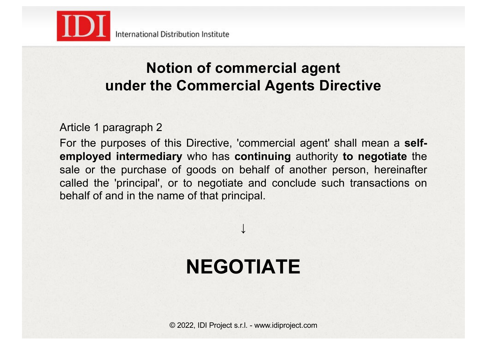

#### **Notion of commercial agent under the Commercial Agents Directive**

#### Article 1 paragraph 2

For the purposes of this Directive, 'commercial agent' shall mean a **selfemployed intermediary** who has **continuing** authority **to negotiate** the sale or the purchase of goods on behalf of another person, hereinafter called the 'principal', or to negotiate and conclude such transactions on behalf of and in the name of that principal.

## **NEGOTIATE**

↓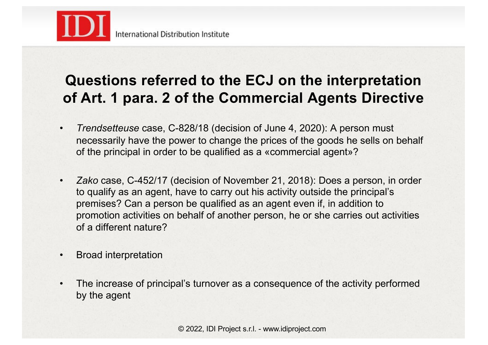

#### **Questions referred to the ECJ on the interpretation of Art. 1 para. 2 of the Commercial Agents Directive**

- *Trendsetteuse* case, C-828/18 (decision of June 4, 2020): A person must necessarily have the power to change the prices of the goods he sells on behalf of the principal in order to be qualified as a «commercial agent»?
- *Zako* case, C-452/17 (decision of November 21, 2018): Does a person, in order to qualify as an agent, have to carry out his activity outside the principal's premises? Can a person be qualified as an agent even if, in addition to promotion activities on behalf of another person, he or she carries out activities of a different nature?
- Broad interpretation
- The increase of principal's turnover as a consequence of the activity performed by the agent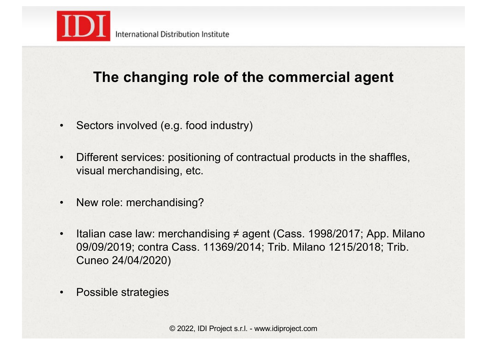

#### **The changing role of the commercial agent**

- Sectors involved (e.g. food industry)
- Different services: positioning of contractual products in the shaffles, visual merchandising, etc.
- New role: merchandising?
- Italian case law: merchandising ≠ agent (Cass. 1998/2017; App. Milano 09/09/2019; contra Cass. 11369/2014; Trib. Milano 1215/2018; Trib. Cuneo 24/04/2020)
- Possible strategies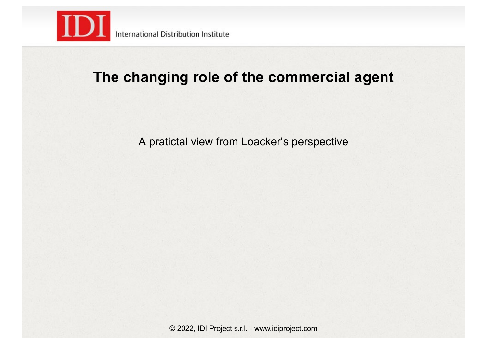

#### **The changing role of the commercial agent**

A pratictal view from Loacker's perspective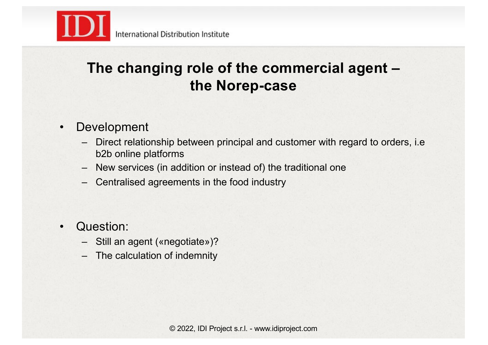

#### • Development

- Direct relationship between principal and customer with regard to orders, i.e b2b online platforms
- New services (in addition or instead of) the traditional one
- Centralised agreements in the food industry
- Question:
	- Still an agent («negotiate»)?
	- The calculation of indemnity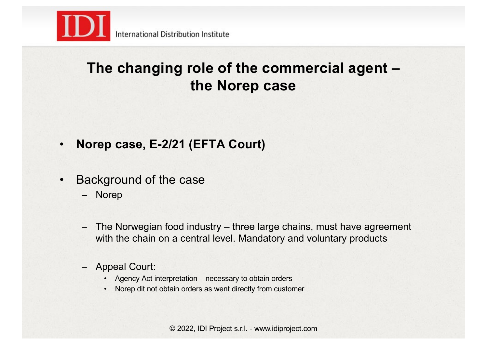

- **Norep case, E-2/21 (EFTA Court)**
- Background of the case
	- Norep
	- The Norwegian food industry three large chains, must have agreement with the chain on a central level. Mandatory and voluntary products
	- Appeal Court:
		- Agency Act interpretation necessary to obtain orders
		- Norep dit not obtain orders as went directly from customer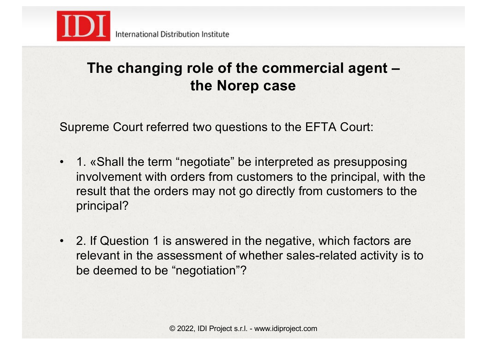

Supreme Court referred two questions to the EFTA Court:

- 1. «Shall the term "negotiate" be interpreted as presupposing involvement with orders from customers to the principal, with the result that the orders may not go directly from customers to the principal?
- 2. If Question 1 is answered in the negative, which factors are relevant in the assessment of whether sales-related activity is to be deemed to be "negotiation"?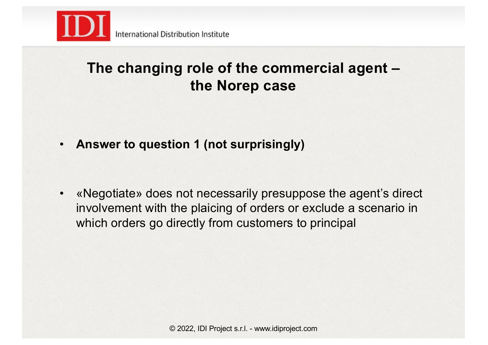

• **Answer to question 1 (not surprisingly)**

• «Negotiate» does not necessarily presuppose the agent's direct involvement with the plaicing of orders or exclude a scenario in which orders go directly from customers to principal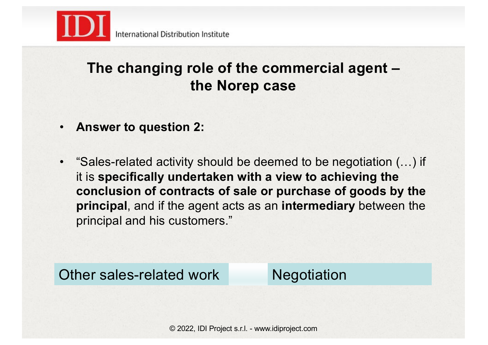

- **Answer to question 2:**
- "Sales-related activity should be deemed to be negotiation (…) if it is **specifically undertaken with a view to achieving the conclusion of contracts of sale or purchase of goods by the principal**, and if the agent acts as an **intermediary** between the principal and his customers."

Other sales-related work Negotiation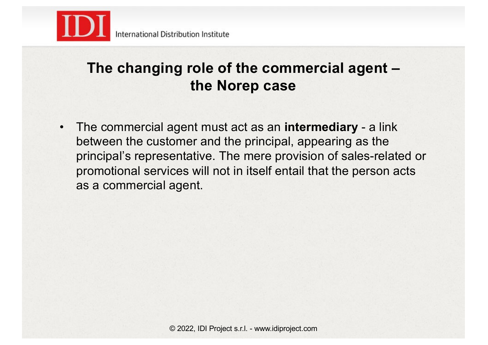

• The commercial agent must act as an **intermediary** - a link between the customer and the principal, appearing as the principal's representative. The mere provision of sales-related or promotional services will not in itself entail that the person acts as a commercial agent.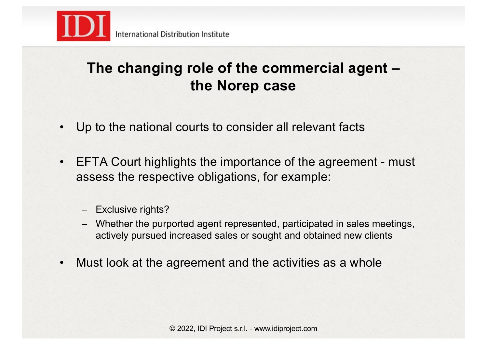

- Up to the national courts to consider all relevant facts
- EFTA Court highlights the importance of the agreement must assess the respective obligations, for example:
	- Exclusive rights?
	- Whether the purported agent represented, participated in sales meetings, actively pursued increased sales or sought and obtained new clients
- Must look at the agreement and the activities as a whole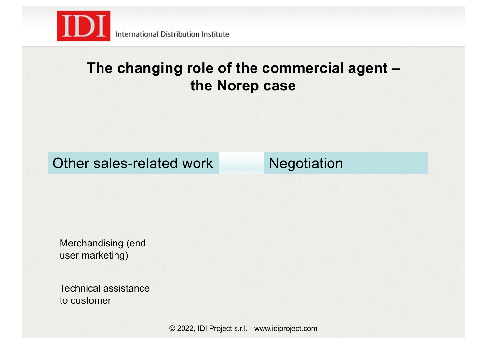

#### Other sales-related work Negotiation

Merchandising (end user marketing)

Technical assistance to customer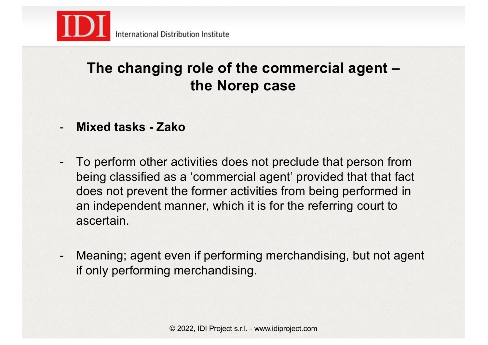

- **Mixed tasks - Zako**
- To perform other activities does not preclude that person from being classified as a 'commercial agent' provided that that fact does not prevent the former activities from being performed in an independent manner, which it is for the referring court to ascertain.
- Meaning; agent even if performing merchandising, but not agent if only performing merchandising.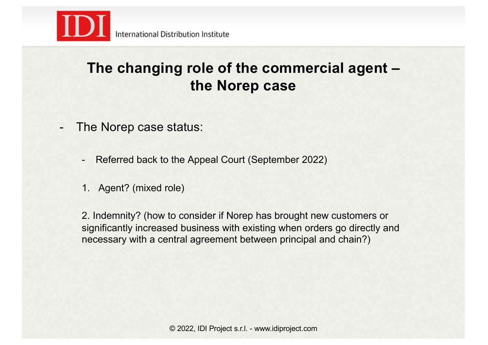

- The Norep case status:
	- Referred back to the Appeal Court (September 2022)
	- 1. Agent? (mixed role)

2. Indemnity? (how to consider if Norep has brought new customers or significantly increased business with existing when orders go directly and necessary with a central agreement between principal and chain?)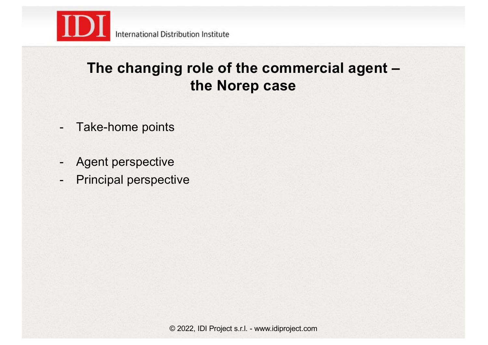

- Take-home points
- Agent perspective
- Principal perspective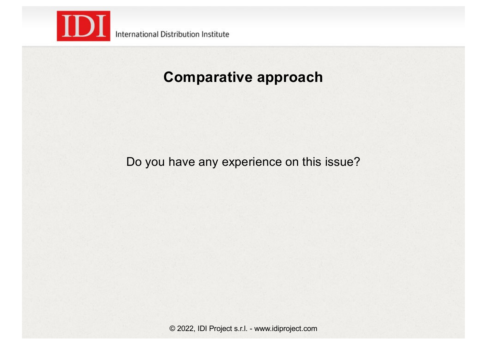

#### **Comparative approach**

Do you have any experience on this issue?